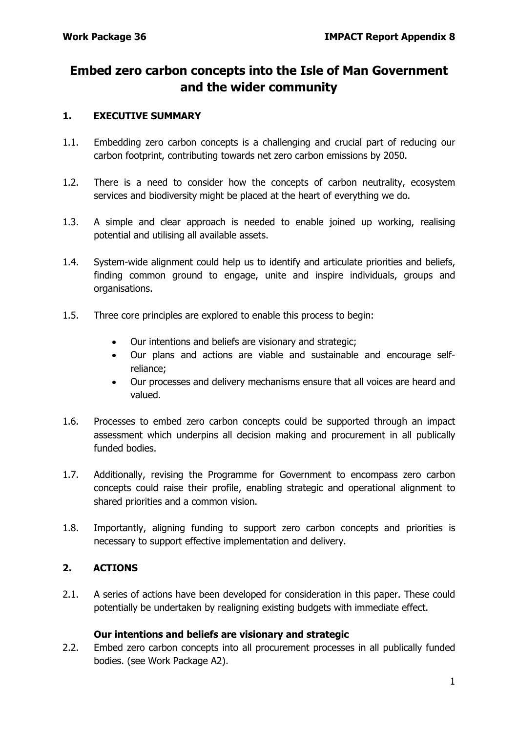# **Embed zero carbon concepts into the Isle of Man Government and the wider community**

#### **1. EXECUTIVE SUMMARY**

- 1.1. Embedding zero carbon concepts is a challenging and crucial part of reducing our carbon footprint, contributing towards net zero carbon emissions by 2050.
- 1.2. There is a need to consider how the concepts of carbon neutrality, ecosystem services and biodiversity might be placed at the heart of everything we do.
- 1.3. A simple and clear approach is needed to enable joined up working, realising potential and utilising all available assets.
- 1.4. System-wide alignment could help us to identify and articulate priorities and beliefs, finding common ground to engage, unite and inspire individuals, groups and organisations.
- 1.5. Three core principles are explored to enable this process to begin:
	- Our intentions and beliefs are visionary and strategic;
	- Our plans and actions are viable and sustainable and encourage selfreliance;
	- Our processes and delivery mechanisms ensure that all voices are heard and valued.
- 1.6. Processes to embed zero carbon concepts could be supported through an impact assessment which underpins all decision making and procurement in all publically funded bodies.
- 1.7. Additionally, revising the Programme for Government to encompass zero carbon concepts could raise their profile, enabling strategic and operational alignment to shared priorities and a common vision.
- 1.8. Importantly, aligning funding to support zero carbon concepts and priorities is necessary to support effective implementation and delivery.

# **2. ACTIONS**

2.1. A series of actions have been developed for consideration in this paper. These could potentially be undertaken by realigning existing budgets with immediate effect.

#### **Our intentions and beliefs are visionary and strategic**

2.2. Embed zero carbon concepts into all procurement processes in all publically funded bodies. (see Work Package A2).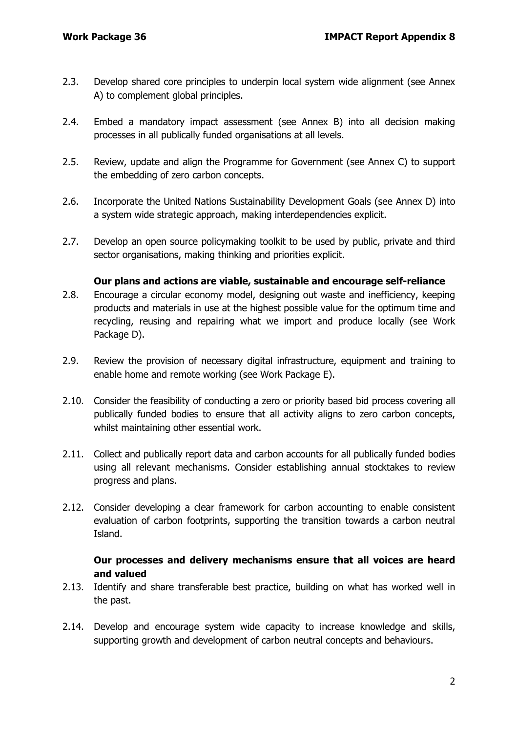- 2.3. Develop shared core principles to underpin local system wide alignment (see Annex A) to complement global principles.
- 2.4. Embed a mandatory impact assessment (see Annex B) into all decision making processes in all publically funded organisations at all levels.
- 2.5. Review, update and align the Programme for Government (see Annex C) to support the embedding of zero carbon concepts.
- 2.6. Incorporate the United Nations Sustainability Development Goals (see Annex D) into a system wide strategic approach, making interdependencies explicit.
- 2.7. Develop an open source policymaking toolkit to be used by public, private and third sector organisations, making thinking and priorities explicit.

#### **Our plans and actions are viable, sustainable and encourage self-reliance**

- 2.8. Encourage a circular economy model, designing out waste and inefficiency, keeping products and materials in use at the highest possible value for the optimum time and recycling, reusing and repairing what we import and produce locally (see Work Package D).
- 2.9. Review the provision of necessary digital infrastructure, equipment and training to enable home and remote working (see Work Package E).
- 2.10. Consider the feasibility of conducting a zero or priority based bid process covering all publically funded bodies to ensure that all activity aligns to zero carbon concepts, whilst maintaining other essential work.
- 2.11. Collect and publically report data and carbon accounts for all publically funded bodies using all relevant mechanisms. Consider establishing annual stocktakes to review progress and plans.
- 2.12. Consider developing a clear framework for carbon accounting to enable consistent evaluation of carbon footprints, supporting the transition towards a carbon neutral Island.

### **Our processes and delivery mechanisms ensure that all voices are heard and valued**

- 2.13. Identify and share transferable best practice, building on what has worked well in the past.
- 2.14. Develop and encourage system wide capacity to increase knowledge and skills, supporting growth and development of carbon neutral concepts and behaviours.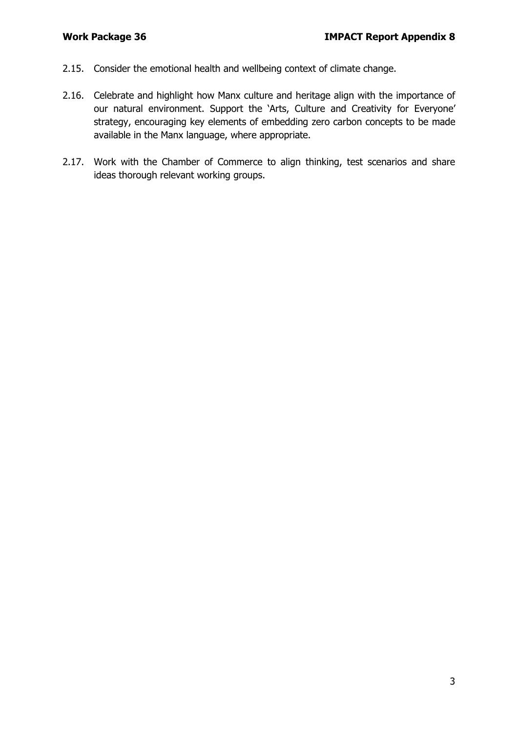- 2.15. Consider the emotional health and wellbeing context of climate change.
- 2.16. Celebrate and highlight how Manx culture and heritage align with the importance of our natural environment. Support the 'Arts, Culture and Creativity for Everyone' strategy, encouraging key elements of embedding zero carbon concepts to be made available in the Manx language, where appropriate.
- 2.17. Work with the Chamber of Commerce to align thinking, test scenarios and share ideas thorough relevant working groups.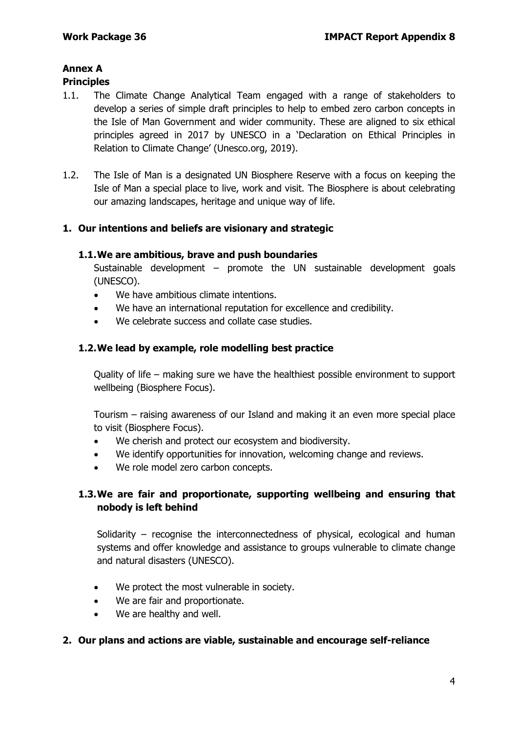# **Annex A**

# **Principles**

- 1.1. The Climate Change Analytical Team engaged with a range of stakeholders to develop a series of simple draft principles to help to embed zero carbon concepts in the Isle of Man Government and wider community. These are aligned to six ethical principles agreed in 2017 by UNESCO in a 'Declaration on Ethical Principles in Relation to Climate Change' (Unesco.org, 2019).
- 1.2. The Isle of Man is a designated UN Biosphere Reserve with a focus on keeping the Isle of Man a special place to live, work and visit. The Biosphere is about celebrating our amazing landscapes, heritage and unique way of life.

# **1. Our intentions and beliefs are visionary and strategic**

### **1.1.We are ambitious, brave and push boundaries**

Sustainable development – promote the UN sustainable development goals (UNESCO).

- We have ambitious climate intentions.
- We have an international reputation for excellence and credibility.
- We celebrate success and collate case studies.

### **1.2.We lead by example, role modelling best practice**

Quality of life – making sure we have the healthiest possible environment to support wellbeing (Biosphere Focus).

Tourism – raising awareness of our Island and making it an even more special place to visit (Biosphere Focus).

- We cherish and protect our ecosystem and biodiversity.
- We identify opportunities for innovation, welcoming change and reviews.
- We role model zero carbon concepts.

# **1.3.We are fair and proportionate, supporting wellbeing and ensuring that nobody is left behind**

Solidarity – recognise the interconnectedness of physical, ecological and human systems and offer knowledge and assistance to groups vulnerable to climate change and natural disasters (UNESCO).

- We protect the most vulnerable in society.
- We are fair and proportionate.
- We are healthy and well.

#### **2. Our plans and actions are viable, sustainable and encourage self-reliance**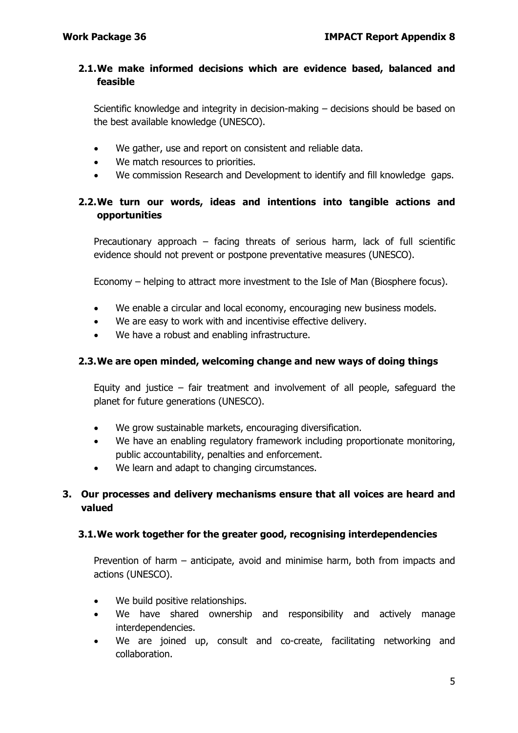# **2.1.We make informed decisions which are evidence based, balanced and feasible**

Scientific knowledge and integrity in decision-making – decisions should be based on the best available knowledge (UNESCO).

- We gather, use and report on consistent and reliable data.
- We match resources to priorities.
- We commission Research and Development to identify and fill knowledge gaps.

# **2.2.We turn our words, ideas and intentions into tangible actions and opportunities**

Precautionary approach – facing threats of serious harm, lack of full scientific evidence should not prevent or postpone preventative measures (UNESCO).

Economy – helping to attract more investment to the Isle of Man (Biosphere focus).

- We enable a circular and local economy, encouraging new business models.
- We are easy to work with and incentivise effective delivery.
- We have a robust and enabling infrastructure.

#### **2.3.We are open minded, welcoming change and new ways of doing things**

Equity and justice – fair treatment and involvement of all people, safeguard the planet for future generations (UNESCO).

- We grow sustainable markets, encouraging diversification.
- We have an enabling regulatory framework including proportionate monitoring, public accountability, penalties and enforcement.
- We learn and adapt to changing circumstances.

# **3. Our processes and delivery mechanisms ensure that all voices are heard and valued**

#### **3.1.We work together for the greater good, recognising interdependencies**

Prevention of harm – anticipate, avoid and minimise harm, both from impacts and actions (UNESCO).

- We build positive relationships.
- We have shared ownership and responsibility and actively manage interdependencies.
- We are joined up, consult and co-create, facilitating networking and collaboration.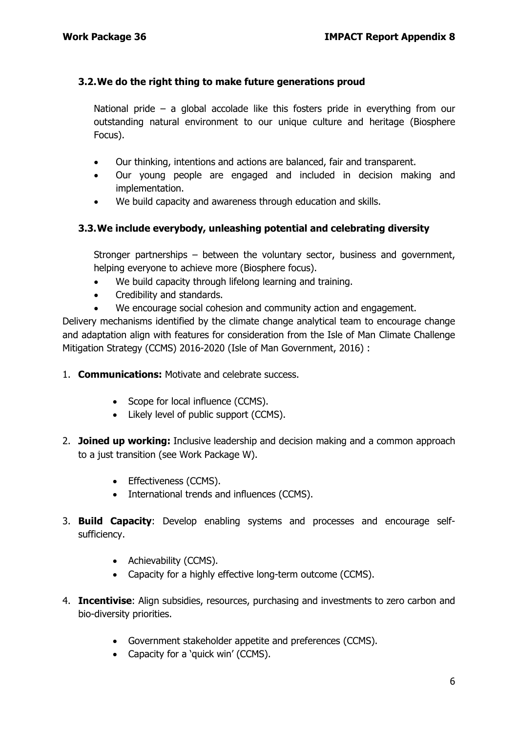# **3.2.We do the right thing to make future generations proud**

National pride – a global accolade like this fosters pride in everything from our outstanding natural environment to our unique culture and heritage (Biosphere Focus).

- Our thinking, intentions and actions are balanced, fair and transparent.
- Our young people are engaged and included in decision making and implementation.
- We build capacity and awareness through education and skills.

# **3.3.We include everybody, unleashing potential and celebrating diversity**

Stronger partnerships – between the voluntary sector, business and government, helping everyone to achieve more (Biosphere focus).

- We build capacity through lifelong learning and training.
- Credibility and standards.
- We encourage social cohesion and community action and engagement.

Delivery mechanisms identified by the climate change analytical team to encourage change and adaptation align with features for consideration from the Isle of Man Climate Challenge Mitigation Strategy (CCMS) 2016-2020 (Isle of Man Government, 2016) :

- 1. **Communications:** Motivate and celebrate success.
	- Scope for local influence (CCMS).
	- Likely level of public support (CCMS).
- 2. **Joined up working:** Inclusive leadership and decision making and a common approach to a just transition (see Work Package W).
	- Effectiveness (CCMS).
	- International trends and influences (CCMS).
- 3. **Build Capacity**: Develop enabling systems and processes and encourage selfsufficiency.
	- Achievability (CCMS).
	- Capacity for a highly effective long-term outcome (CCMS).
- 4. **Incentivise**: Align subsidies, resources, purchasing and investments to zero carbon and bio-diversity priorities.
	- Government stakeholder appetite and preferences (CCMS).
	- Capacity for a 'quick win' (CCMS).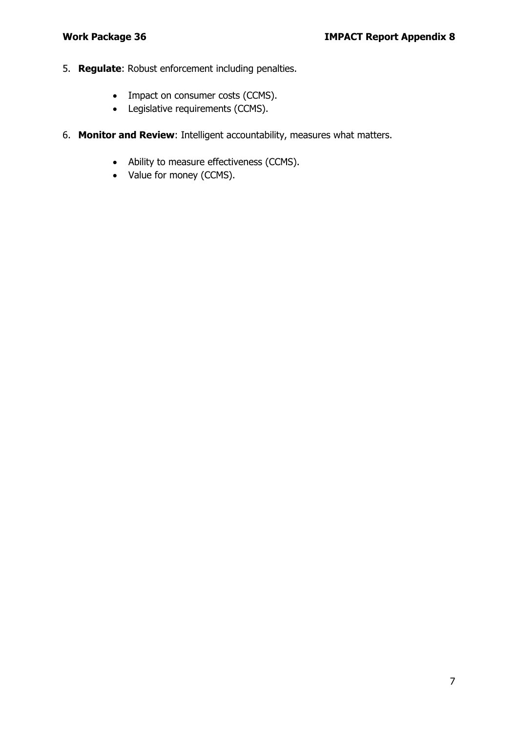- 5. **Regulate**: Robust enforcement including penalties.
	- Impact on consumer costs (CCMS).
	- Legislative requirements (CCMS).
- 6. **Monitor and Review**: Intelligent accountability, measures what matters.
	- Ability to measure effectiveness (CCMS).
	- Value for money (CCMS).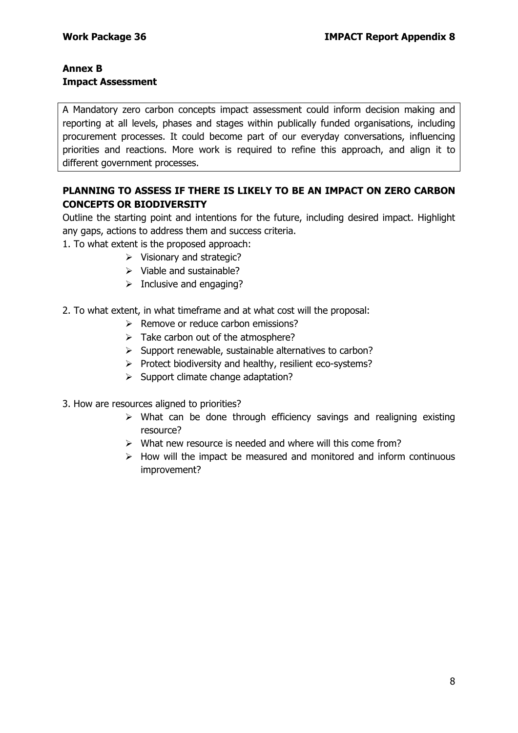#### **Annex B Impact Assessment**

A Mandatory zero carbon concepts impact assessment could inform decision making and reporting at all levels, phases and stages within publically funded organisations, including procurement processes. It could become part of our everyday conversations, influencing priorities and reactions. More work is required to refine this approach, and align it to different government processes.

# **PLANNING TO ASSESS IF THERE IS LIKELY TO BE AN IMPACT ON ZERO CARBON CONCEPTS OR BIODIVERSITY**

Outline the starting point and intentions for the future, including desired impact. Highlight any gaps, actions to address them and success criteria.

- 1. To what extent is the proposed approach:
	- $\triangleright$  Visionary and strategic?
	- $\triangleright$  Viable and sustainable?
	- $\triangleright$  Inclusive and engaging?
- 2. To what extent, in what timeframe and at what cost will the proposal:
	- $\triangleright$  Remove or reduce carbon emissions?
	- $\triangleright$  Take carbon out of the atmosphere?
	- $\triangleright$  Support renewable, sustainable alternatives to carbon?
	- $\triangleright$  Protect biodiversity and healthy, resilient eco-systems?
	- $\triangleright$  Support climate change adaptation?
- 3. How are resources aligned to priorities?
	- $\triangleright$  What can be done through efficiency savings and realigning existing resource?
	- $\triangleright$  What new resource is needed and where will this come from?
	- $\triangleright$  How will the impact be measured and monitored and inform continuous improvement?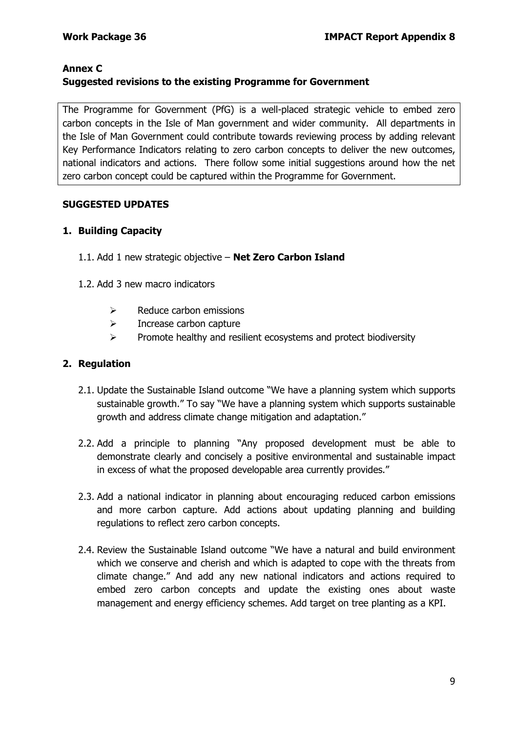# **Annex C Suggested revisions to the existing Programme for Government**

The Programme for Government (PfG) is a well-placed strategic vehicle to embed zero carbon concepts in the Isle of Man government and wider community. All departments in the Isle of Man Government could contribute towards reviewing process by adding relevant Key Performance Indicators relating to zero carbon concepts to deliver the new outcomes, national indicators and actions. There follow some initial suggestions around how the net zero carbon concept could be captured within the Programme for Government.

### **SUGGESTED UPDATES**

### **1. Building Capacity**

- 1.1. Add 1 new strategic objective **Net Zero Carbon Island**
- 1.2. Add 3 new macro indicators
	- $\triangleright$  Reduce carbon emissions
	- $\triangleright$  Increase carbon capture
	- $\triangleright$  Promote healthy and resilient ecosystems and protect biodiversity

### **2. Regulation**

- 2.1. Update the Sustainable Island outcome "We have a planning system which supports sustainable growth." To say "We have a planning system which supports sustainable growth and address climate change mitigation and adaptation."
- 2.2. Add a principle to planning "Any proposed development must be able to demonstrate clearly and concisely a positive environmental and sustainable impact in excess of what the proposed developable area currently provides."
- 2.3. Add a national indicator in planning about encouraging reduced carbon emissions and more carbon capture. Add actions about updating planning and building regulations to reflect zero carbon concepts.
- 2.4. Review the Sustainable Island outcome "We have a natural and build environment which we conserve and cherish and which is adapted to cope with the threats from climate change." And add any new national indicators and actions required to embed zero carbon concepts and update the existing ones about waste management and energy efficiency schemes. Add target on tree planting as a KPI.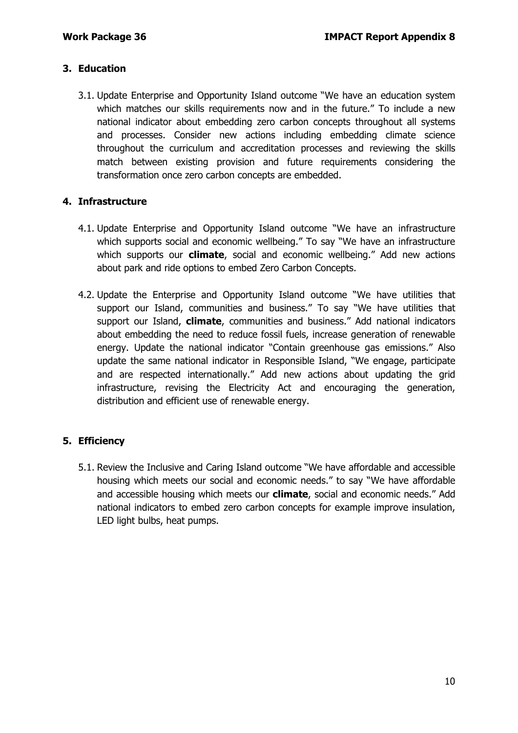# **3. Education**

3.1. Update Enterprise and Opportunity Island outcome "We have an education system which matches our skills requirements now and in the future." To include a new national indicator about embedding zero carbon concepts throughout all systems and processes. Consider new actions including embedding climate science throughout the curriculum and accreditation processes and reviewing the skills match between existing provision and future requirements considering the transformation once zero carbon concepts are embedded.

### **4. Infrastructure**

- 4.1. Update Enterprise and Opportunity Island outcome "We have an infrastructure which supports social and economic wellbeing." To say "We have an infrastructure which supports our **climate**, social and economic wellbeing." Add new actions about park and ride options to embed Zero Carbon Concepts.
- 4.2. Update the Enterprise and Opportunity Island outcome "We have utilities that support our Island, communities and business." To say "We have utilities that support our Island, **climate**, communities and business." Add national indicators about embedding the need to reduce fossil fuels, increase generation of renewable energy. Update the national indicator "Contain greenhouse gas emissions." Also update the same national indicator in Responsible Island, "We engage, participate and are respected internationally." Add new actions about updating the grid infrastructure, revising the Electricity Act and encouraging the generation, distribution and efficient use of renewable energy.

# **5. Efficiency**

5.1. Review the Inclusive and Caring Island outcome "We have affordable and accessible housing which meets our social and economic needs." to say "We have affordable and accessible housing which meets our **climate**, social and economic needs." Add national indicators to embed zero carbon concepts for example improve insulation, LED light bulbs, heat pumps.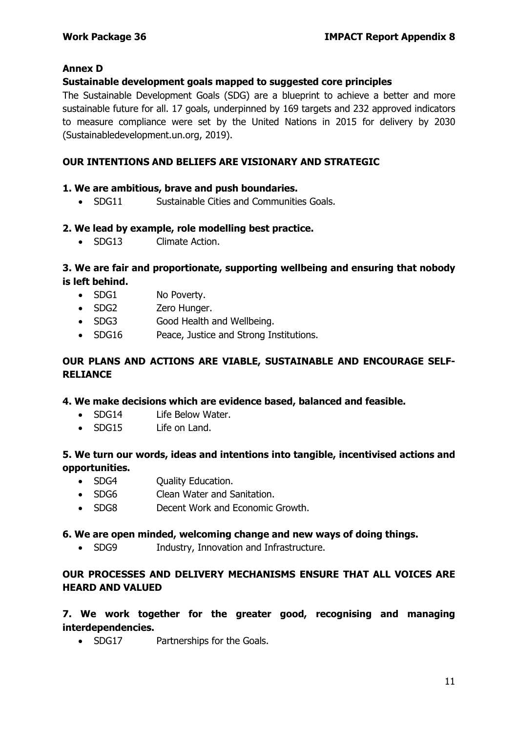### **Annex D**

#### **Sustainable development goals mapped to suggested core principles**

The Sustainable Development Goals (SDG) are a blueprint to achieve a better and more sustainable future for all. 17 goals, underpinned by 169 targets and 232 approved indicators to measure compliance were set by the United Nations in 2015 for delivery by 2030 (Sustainabledevelopment.un.org, 2019).

#### **OUR INTENTIONS AND BELIEFS ARE VISIONARY AND STRATEGIC**

#### **1. We are ambitious, brave and push boundaries.**

• SDG11 Sustainable Cities and Communities Goals.

#### **2. We lead by example, role modelling best practice.**

• SDG13 Climate Action.

### **3. We are fair and proportionate, supporting wellbeing and ensuring that nobody is left behind.**

- SDG1 No Poverty.
- SDG2 Zero Hunger.
- SDG3 Good Health and Wellbeing.
- SDG16 Peace, Justice and Strong Institutions.

### **OUR PLANS AND ACTIONS ARE VIABLE, SUSTAINABLE AND ENCOURAGE SELF-RELIANCE**

#### **4. We make decisions which are evidence based, balanced and feasible.**

- SDG14 Life Below Water.
- SDG15 Life on Land.

### **5. We turn our words, ideas and intentions into tangible, incentivised actions and opportunities.**

- SDG4 Ouality Education.
- SDG6 Clean Water and Sanitation.
- SDG8 Decent Work and Economic Growth.

#### **6. We are open minded, welcoming change and new ways of doing things.**

• SDG9 Industry, Innovation and Infrastructure.

# **OUR PROCESSES AND DELIVERY MECHANISMS ENSURE THAT ALL VOICES ARE HEARD AND VALUED**

# **7. We work together for the greater good, recognising and managing interdependencies.**

• SDG17 Partnerships for the Goals.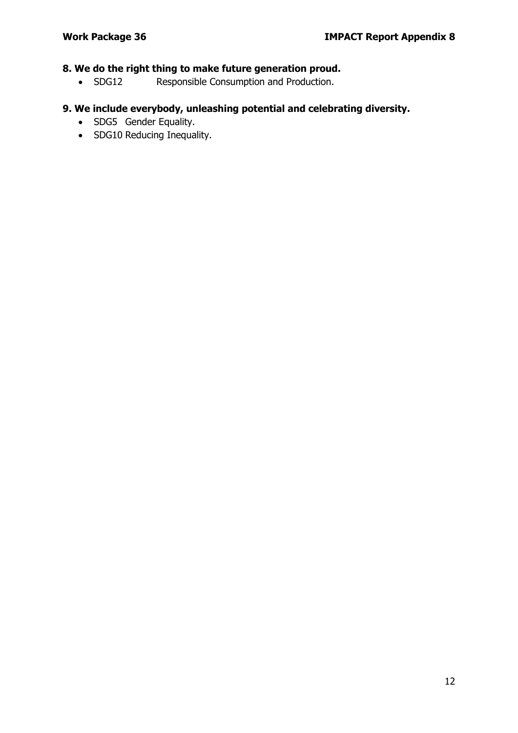# **8. We do the right thing to make future generation proud.**

• SDG12 Responsible Consumption and Production.

# **9. We include everybody, unleashing potential and celebrating diversity.**

- SDG5 Gender Equality.
- SDG10 Reducing Inequality.